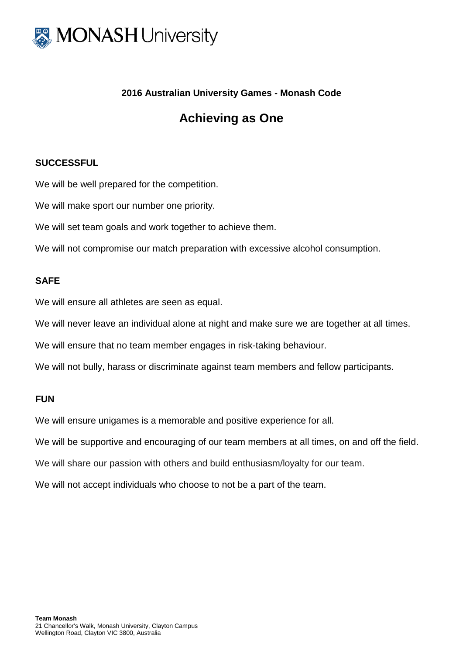

## **2016 Australian University Games - Monash Code**

## **Achieving as One**

## **SUCCESSFUL**

We will be well prepared for the competition.

We will make sport our number one priority.

We will set team goals and work together to achieve them.

We will not compromise our match preparation with excessive alcohol consumption.

## **SAFE**

We will ensure all athletes are seen as equal.

We will never leave an individual alone at night and make sure we are together at all times.

We will ensure that no team member engages in risk-taking behaviour.

We will not bully, harass or discriminate against team members and fellow participants.

### **FUN**

We will ensure unigames is a memorable and positive experience for all.

We will be supportive and encouraging of our team members at all times, on and off the field.

We will share our passion with others and build enthusiasm/loyalty for our team.

We will not accept individuals who choose to not be a part of the team.